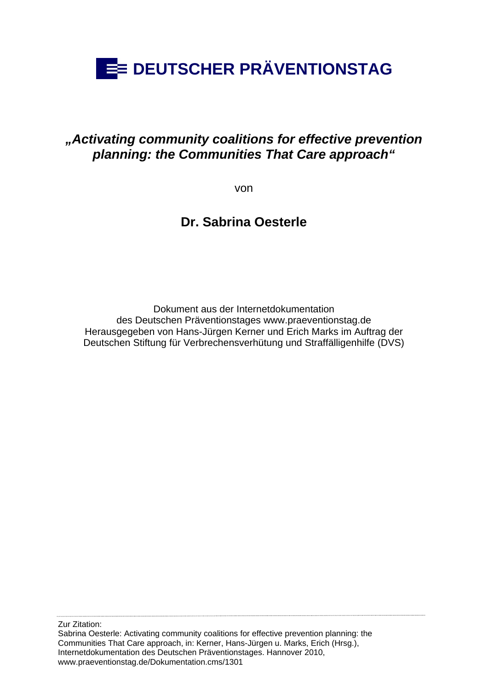

#### *"Activating community coalitions for effective prevention planning: the Communities That Care approach"*

von

**Dr. Sabrina Oesterle** 

Dokument aus der Internetdokumentation des Deutschen Präventionstages www.praeventionstag.de Herausgegeben von Hans-Jürgen Kerner und Erich Marks im Auftrag der Deutschen Stiftung für Verbrechensverhütung und Straffälligenhilfe (DVS)

Zur Zitation: Sabrina Oesterle: Activating community coalitions for effective prevention planning: the Communities That Care approach, in: Kerner, Hans-Jürgen u. Marks, Erich (Hrsg.), Internetdokumentation des Deutschen Präventionstages. Hannover 2010, www.praeventionstag.de/Dokumentation.cms/1301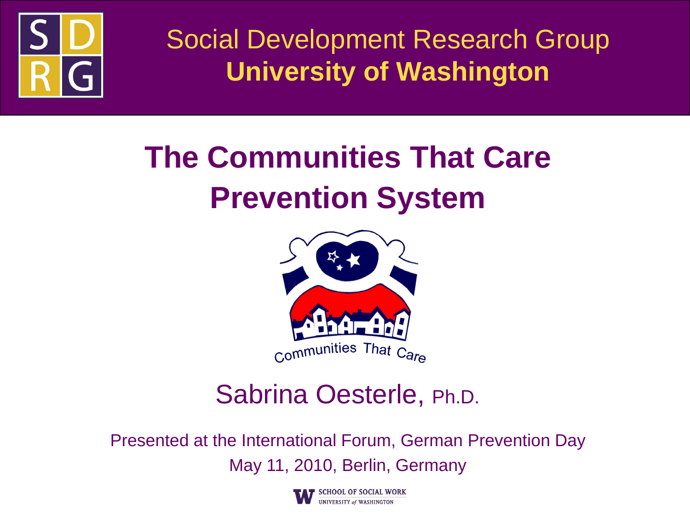

Social Development Research Group **University of Washington**

### **The Communities That Care Prevention System**



### Sabrina Oesterle, Ph.D.

Presented at the International Forum, German Prevention Day May 11, 2010, Berlin, Germany

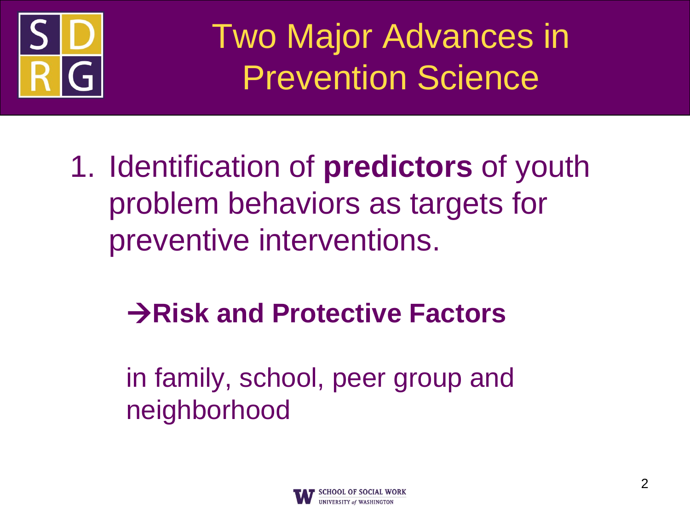

Two Major Advances in Prevention Science

1. Identification of **predictors** of youth problem behaviors as targets for preventive interventions.

### **Risk and Protective Factors**

in family, school, peer group and neighborhood

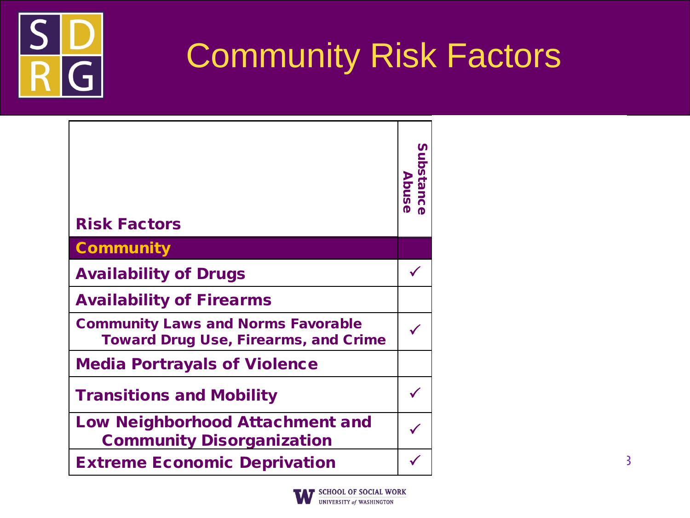

### Community Risk Factors

|                                                                                          | <b>Substance</b><br>Abuse |
|------------------------------------------------------------------------------------------|---------------------------|
| <b>Risk Factors</b>                                                                      |                           |
| <b>Community</b>                                                                         |                           |
| <b>Availability of Drugs</b>                                                             |                           |
| <b>Availability of Firearms</b>                                                          |                           |
| <b>Community Laws and Norms Favorable</b><br><b>Toward Drug Use, Firearms, and Crime</b> |                           |
| <b>Media Portrayals of Violence</b>                                                      |                           |
| <b>Transitions and Mobility</b>                                                          |                           |
| <b>Low Neighborhood Attachment and</b><br><b>Community Disorganization</b>               |                           |
| <b>Extreme Economic Deprivation</b>                                                      |                           |

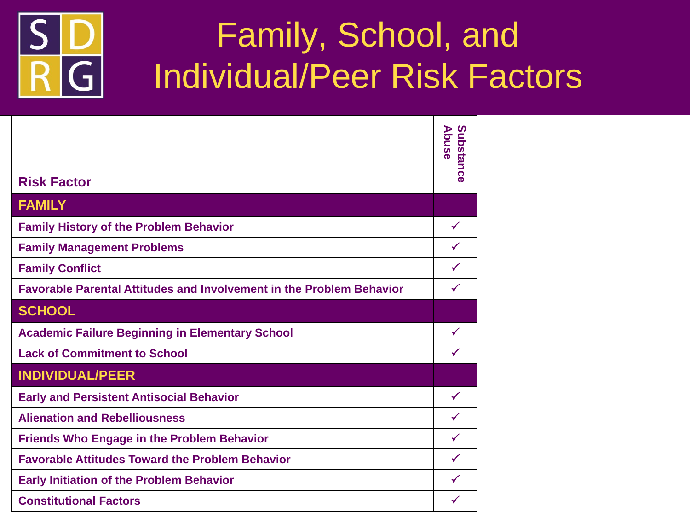

### Family, School, and Individual/Peer Risk Factors

|                                                                             | Abuse         |
|-----------------------------------------------------------------------------|---------------|
|                                                                             | Substa        |
| <b>Risk Factor</b>                                                          | 5<br>$\Omega$ |
|                                                                             |               |
| <b>FAMILY</b>                                                               |               |
| <b>Family History of the Problem Behavior</b>                               | $\checkmark$  |
| <b>Family Management Problems</b>                                           | $\checkmark$  |
| <b>Family Conflict</b>                                                      | $\checkmark$  |
| <b>Favorable Parental Attitudes and Involvement in the Problem Behavior</b> | $\checkmark$  |
| <b>SCHOOL</b>                                                               |               |
| <b>Academic Failure Beginning in Elementary School</b>                      | $\checkmark$  |
| <b>Lack of Commitment to School</b>                                         | ✓             |
| <b>INDIVIDUAL/PEER</b>                                                      |               |
| <b>Early and Persistent Antisocial Behavior</b>                             | $\checkmark$  |
| <b>Alienation and Rebelliousness</b>                                        | $\checkmark$  |
| <b>Friends Who Engage in the Problem Behavior</b>                           | $\checkmark$  |
| <b>Favorable Attitudes Toward the Problem Behavior</b>                      | $\checkmark$  |
| <b>Early Initiation of the Problem Behavior</b>                             | $\checkmark$  |
| <b>Constitutional Factors</b>                                               | $\checkmark$  |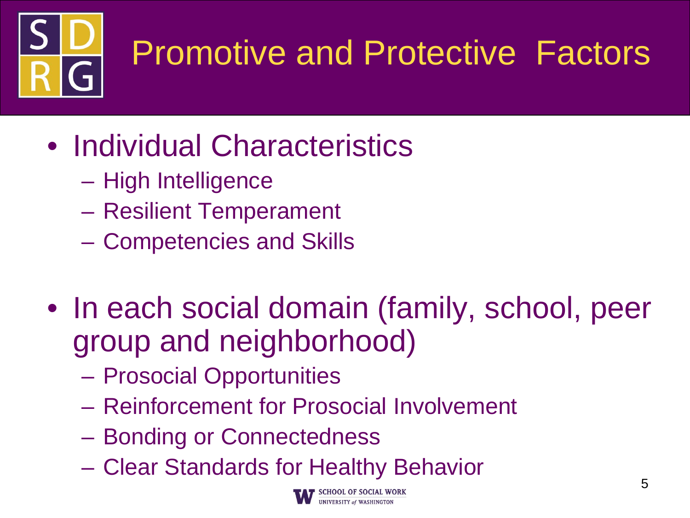

# Promotive and Protective Factors

- Individual Characteristics
	- High Intelligence
	- Resilient Temperament
	- Competencies and Skills
- In each social domain (family, school, peer group and neighborhood)
	- Prosocial Opportunities
	- Reinforcement for Prosocial Involvement
	- Bonding or Connectedness
	- Clear Standards for Healthy Behavior

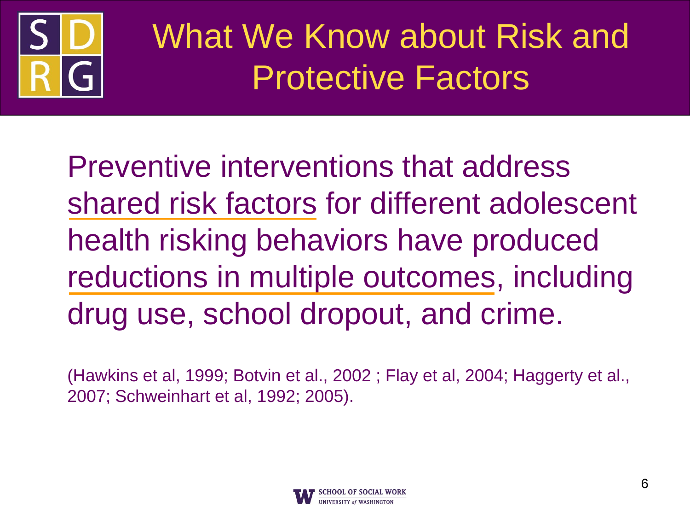

### What We Know about Risk and Protective Factors

Preventive interventions that address shared risk factors for different adolescent health risking behaviors have produced reductions in multiple outcomes, including drug use, school dropout, and crime.

(Hawkins et al, 1999; Botvin et al., 2002 ; Flay et al, 2004; Haggerty et al., 2007; Schweinhart et al, 1992; 2005).

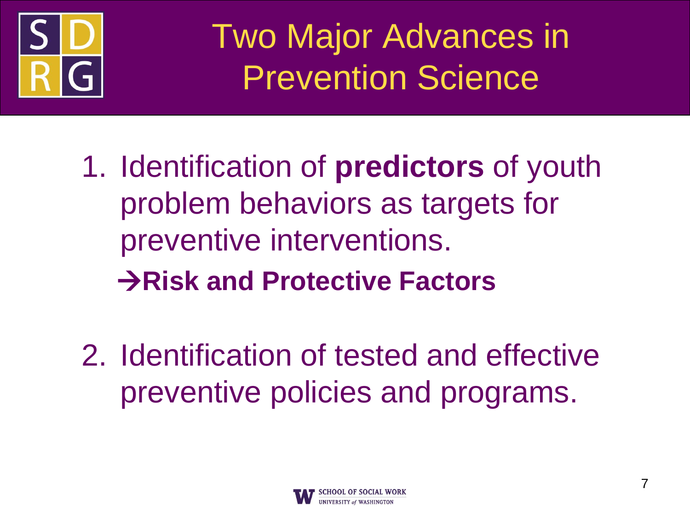

Two Major Advances in Prevention Science

- 1. Identification of **predictors** of youth problem behaviors as targets for preventive interventions. **Risk and Protective Factors**
- 2. Identification of tested and effective preventive policies and programs.

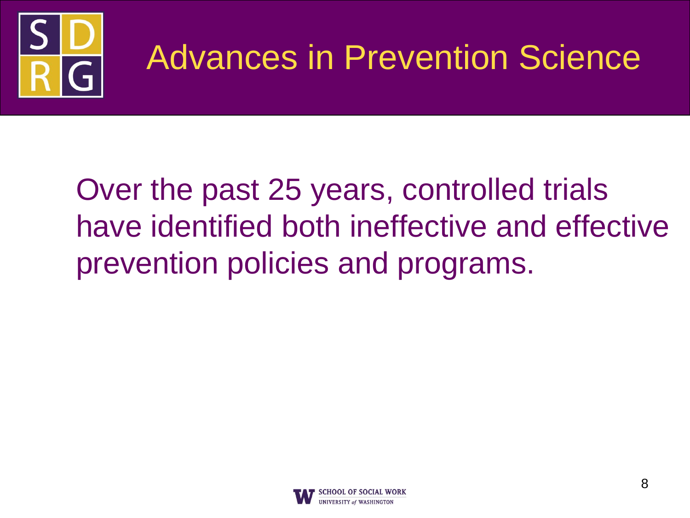

### Advances in Prevention Science

### Over the past 25 years, controlled trials have identified both ineffective and effective prevention policies and programs.

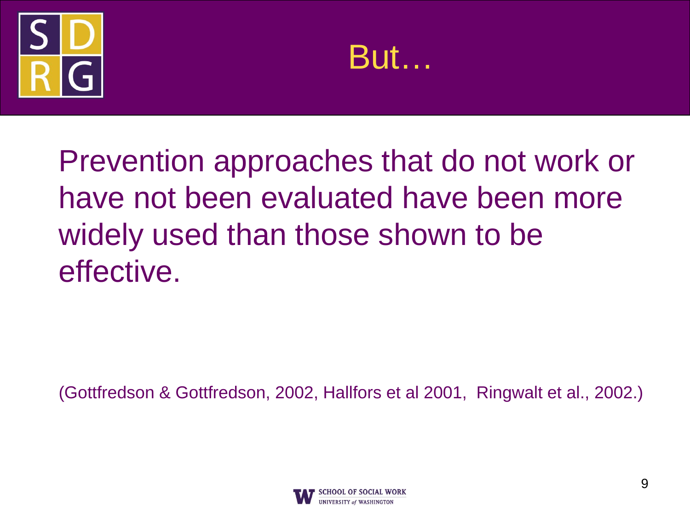



Prevention approaches that do not work or have not been evaluated have been more widely used than those shown to be effective.

(Gottfredson & Gottfredson, 2002, Hallfors et al 2001, Ringwalt et al., 2002.)

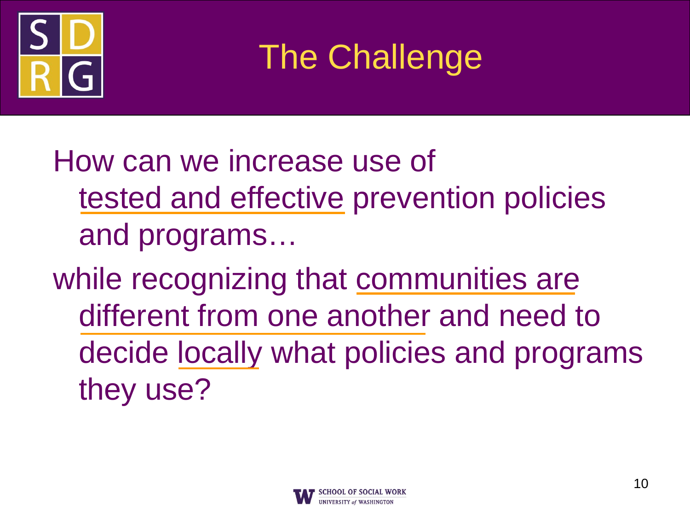

The Challenge

How can we increase use of tested and effective prevention policies and programs…

while recognizing that communities are different from one another and need to decide locally what policies and programs they use?

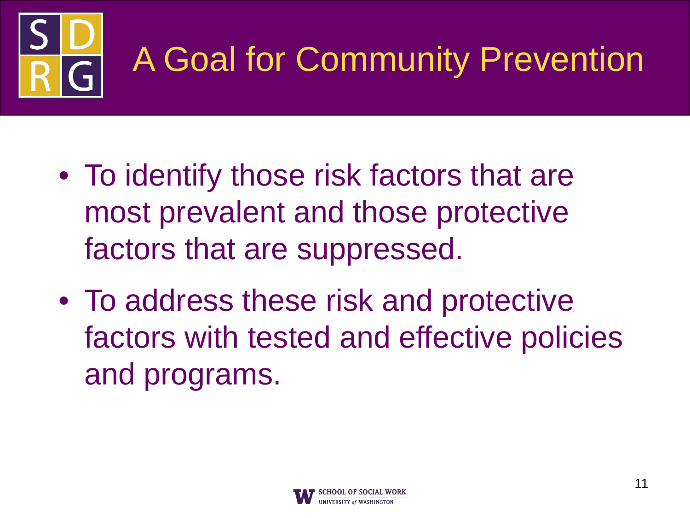

## A Goal for Community Prevention

- To identify those risk factors that are most prevalent and those protective factors that are suppressed.
- To address these risk and protective factors with tested and effective policies and programs.

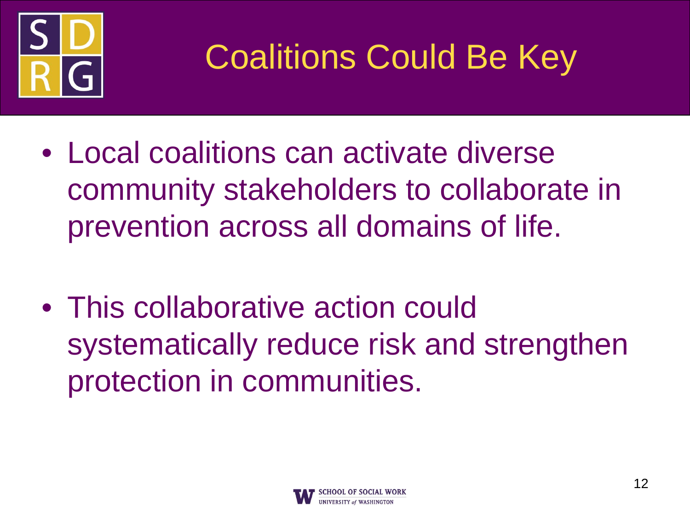

## Coalitions Could Be Key

- Local coalitions can activate diverse community stakeholders to collaborate in prevention across all domains of life.
- This collaborative action could systematically reduce risk and strengthen protection in communities.

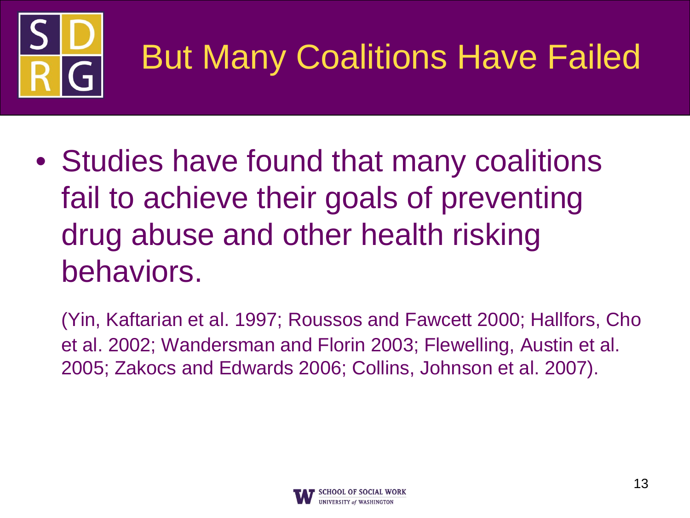

## But Many Coalitions Have Failed

- Studies have found that many coalitions fail to achieve their goals of preventing drug abuse and other health risking behaviors.
	- (Yin, Kaftarian et al. 1997; Roussos and Fawcett 2000; Hallfors, Cho et al. 2002; Wandersman and Florin 2003; Flewelling, Austin et al. 2005; Zakocs and Edwards 2006; Collins, Johnson et al. 2007).

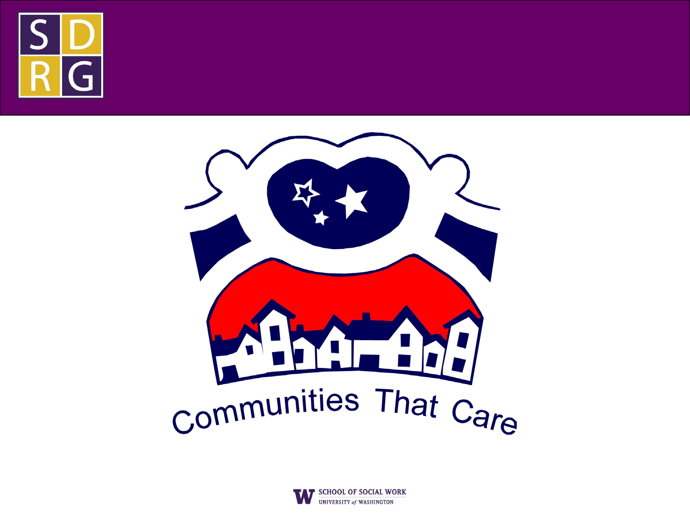



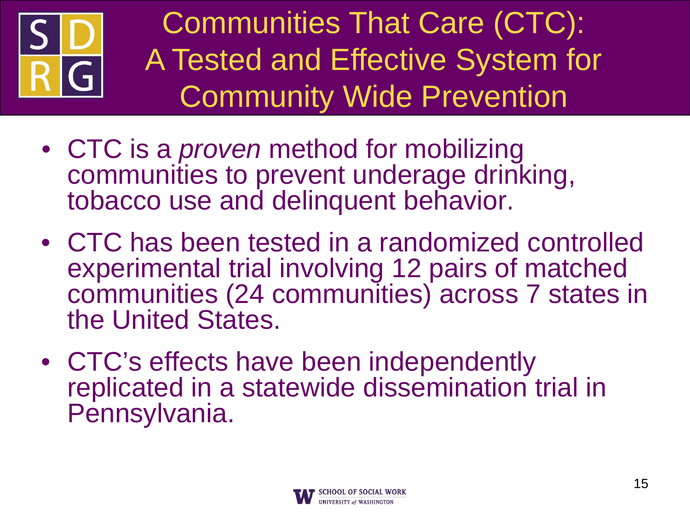

Communities That Care (CTC): A Tested and Effective System for Community Wide Prevention

- CTC is a *proven* method for mobilizing communities to prevent underage drinking, tobacco use and delinquent behavior.
- CTC has been tested in a randomized controlled experimental trial involving 12 pairs of matched communities (24 communities) across 7 states in the United States.
- CTC's effects have been independently replicated in a statewide dissemination trial in Pennsylvania.

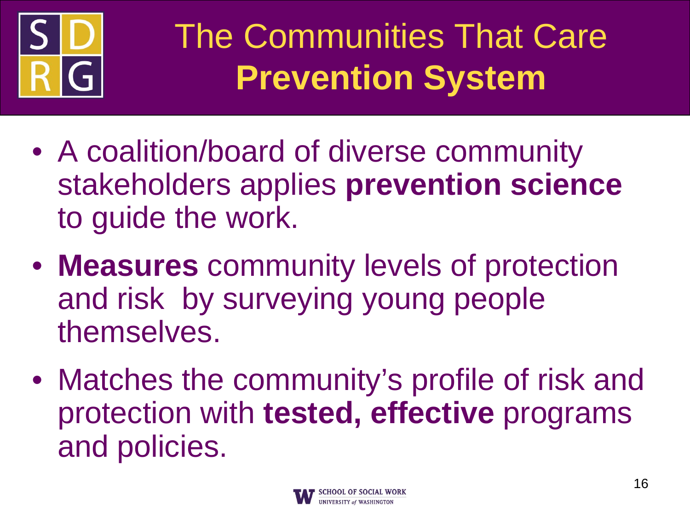

### The Communities That Care **Prevention System**

- A coalition/board of diverse community stakeholders applies **prevention science**  to guide the work.
- **Measures** community levels of protection and risk by surveying young people themselves.
- Matches the community's profile of risk and protection with **tested, effective** programs and policies.

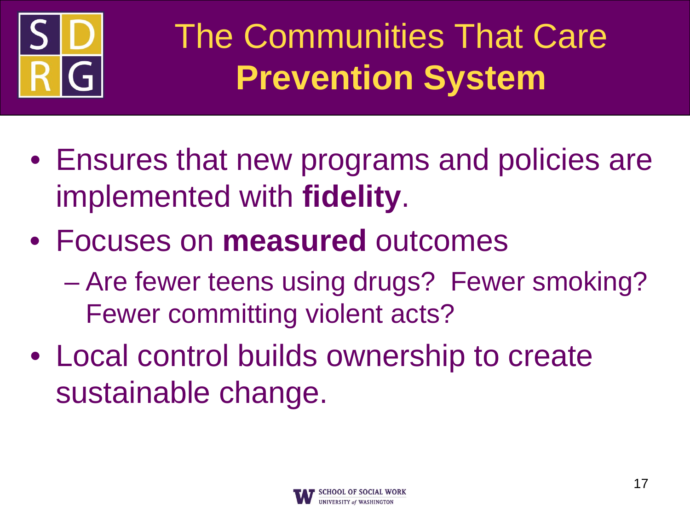

### The Communities That Care **Prevention System**

- Ensures that new programs and policies are implemented with **fidelity**.
- Focuses on **measured** outcomes
	- Are fewer teens using drugs? Fewer smoking? Fewer committing violent acts?
- Local control builds ownership to create sustainable change.

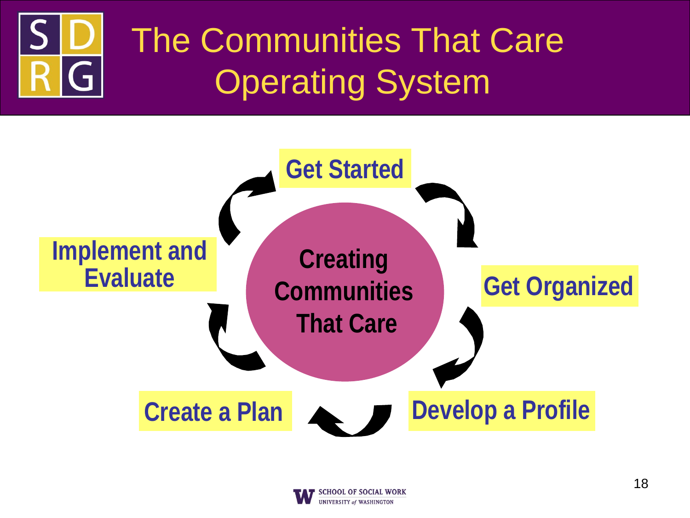# The Communities That Care Operating System



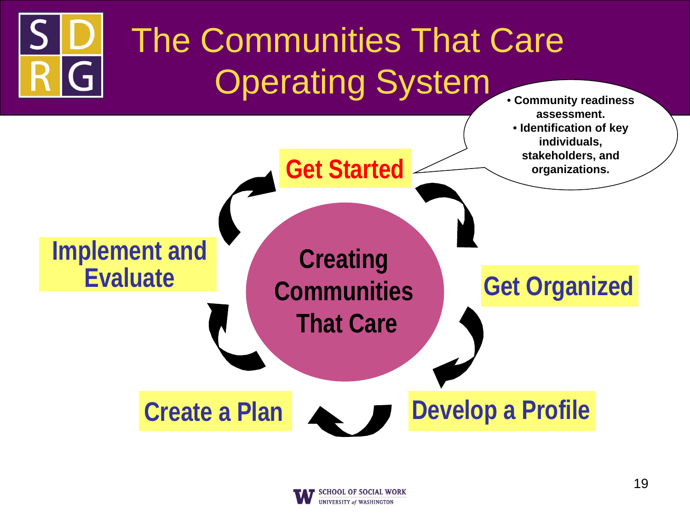

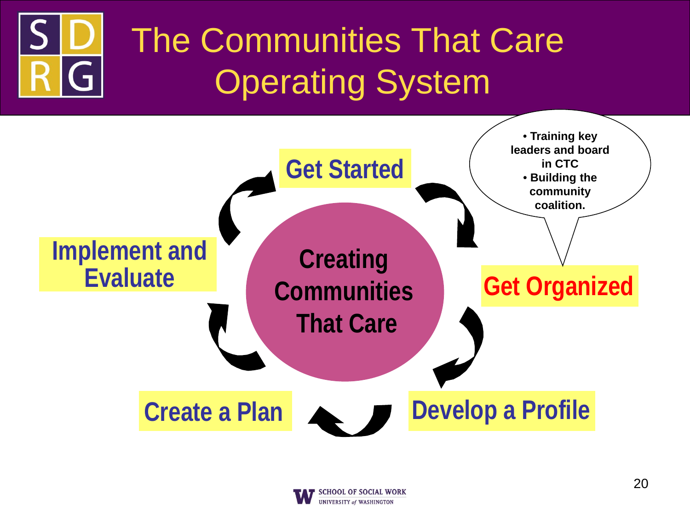### The Communities That Care G Operating System



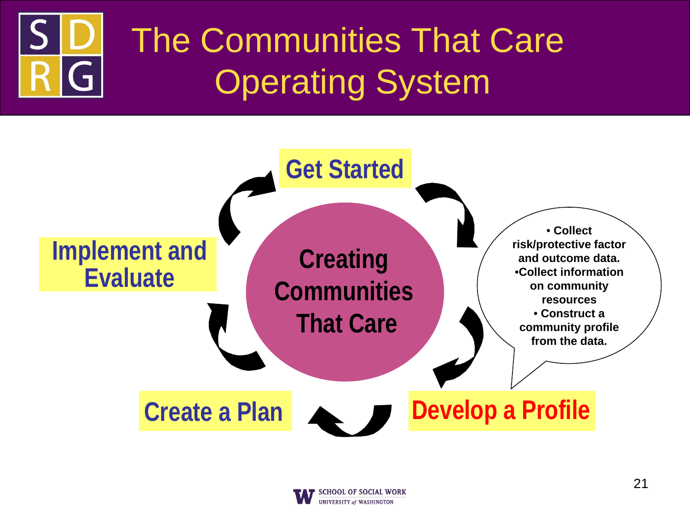### The Communities That Care A Operating System



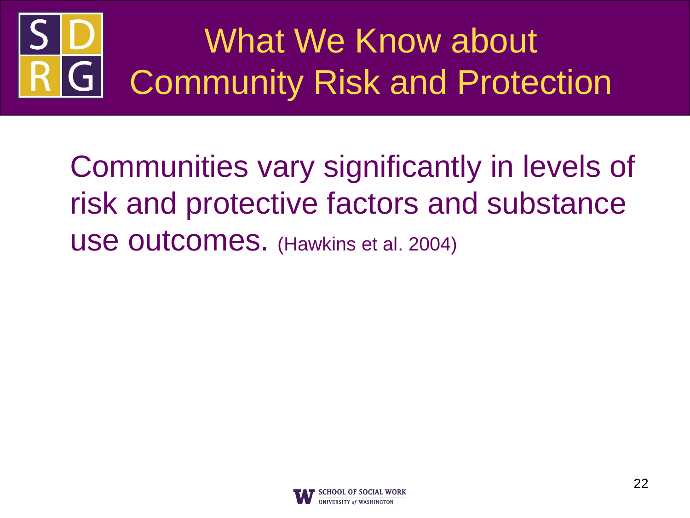### What We Know about G Community Risk and Protection

Communities vary significantly in levels of risk and protective factors and substance use outcomes. (Hawkins et al. 2004)

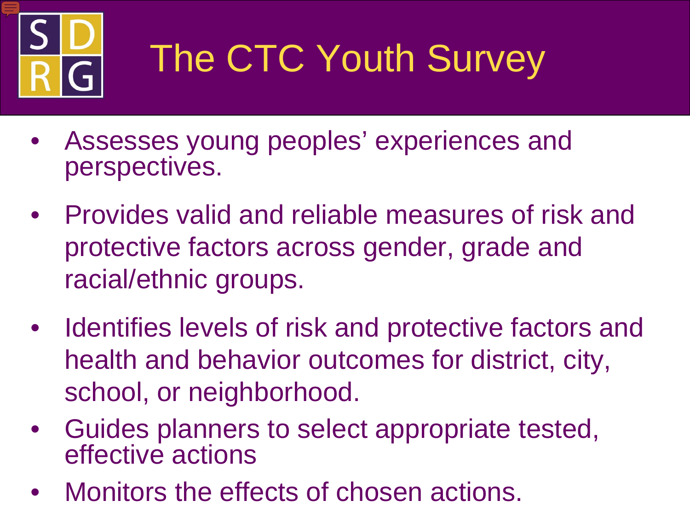

# The CTC Youth Survey

- Assesses young peoples' experiences and perspectives.
- Provides valid and reliable measures of risk and protective factors across gender, grade and racial/ethnic groups.
- Identifies levels of risk and protective factors and health and behavior outcomes for district, city, school, or neighborhood.
- Guides planners to select appropriate tested, effective actions
- Monitors the effects of chosen actions.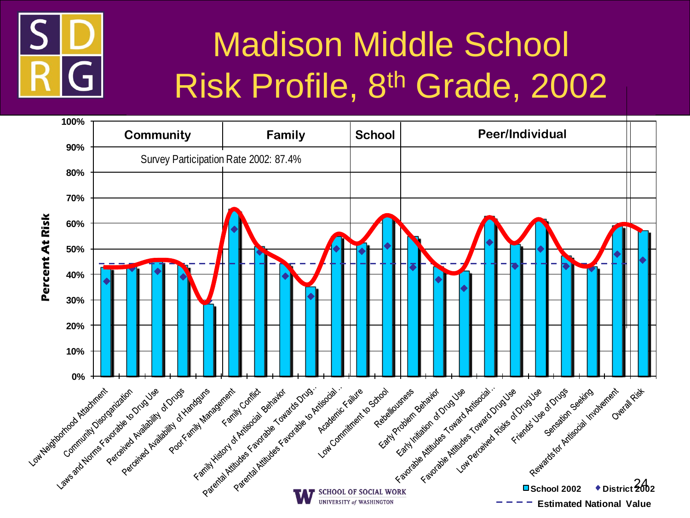

#### **MISK Profile 8th Grad** Madison Middle School Risk Profile, 8th Grade, 2002

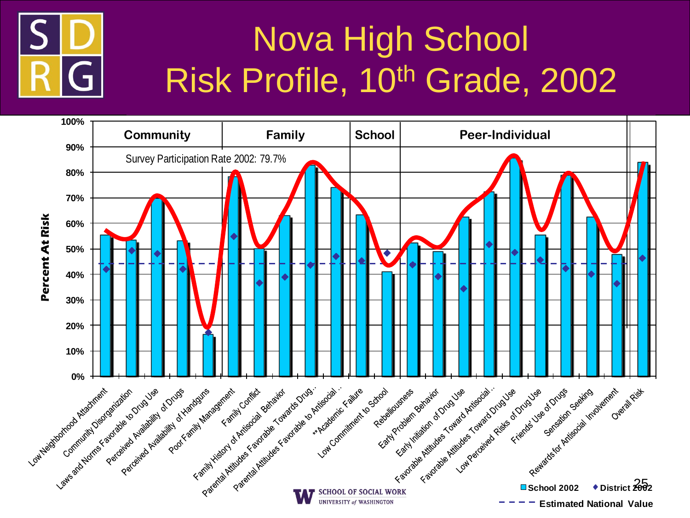

## Risk Profile, 10<sup>th</sup> Grade, 2002 Nova High School

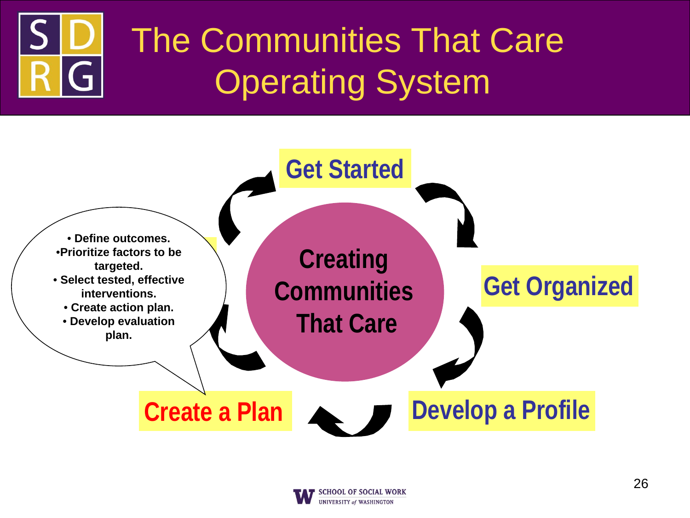# The Communities That Care Operating System



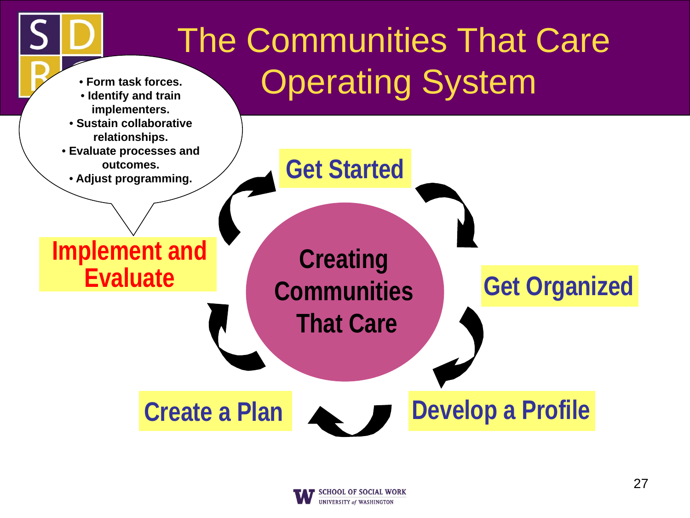

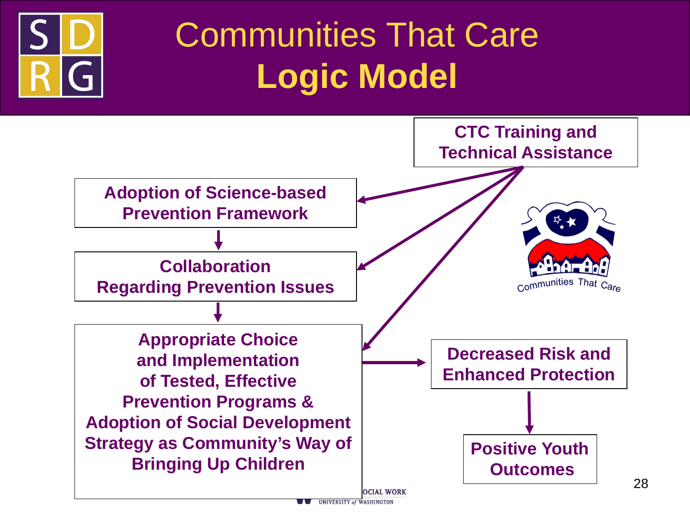

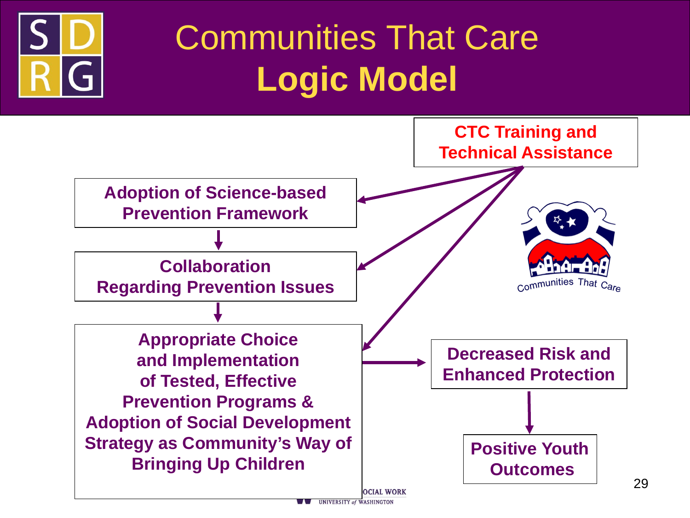

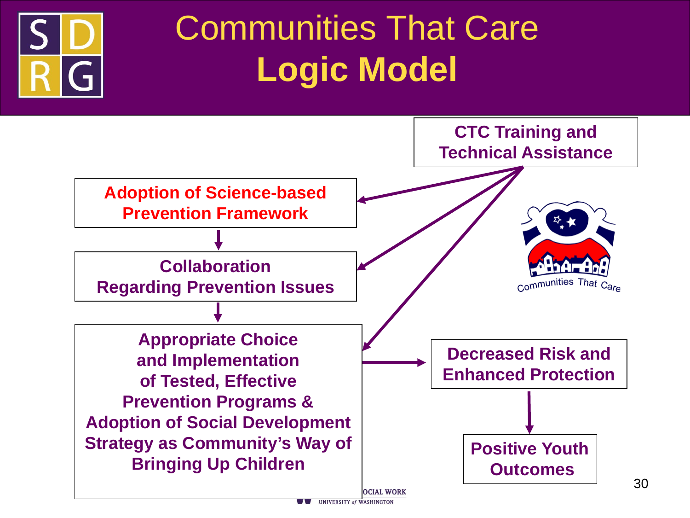

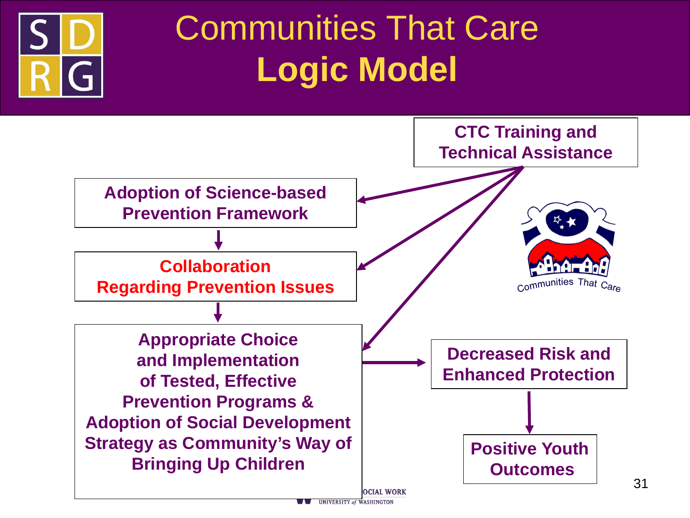

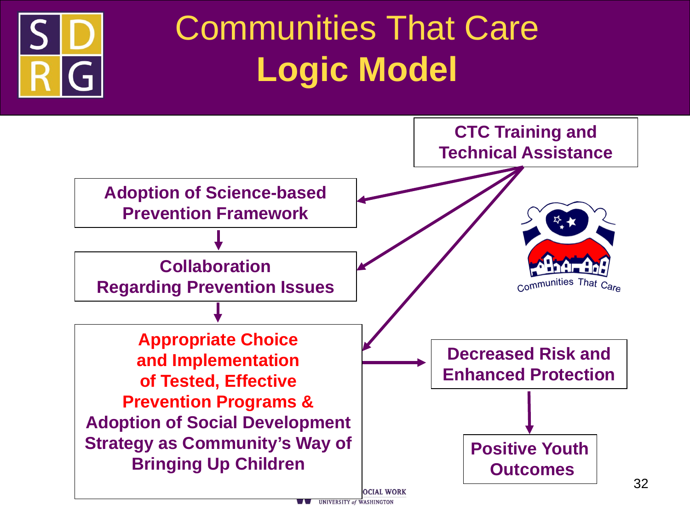

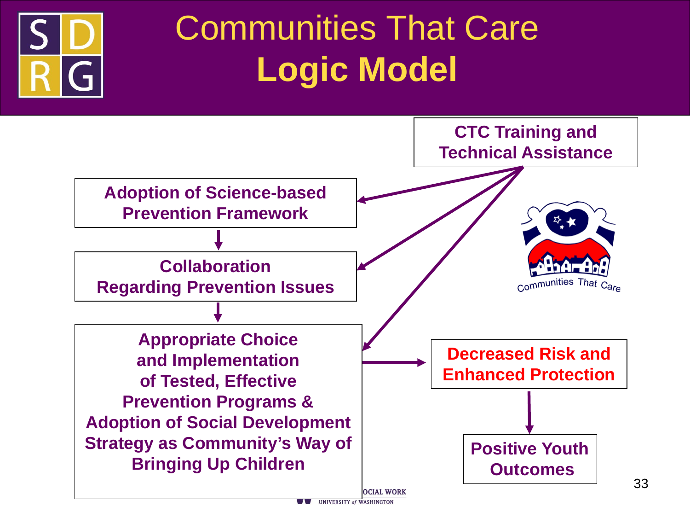

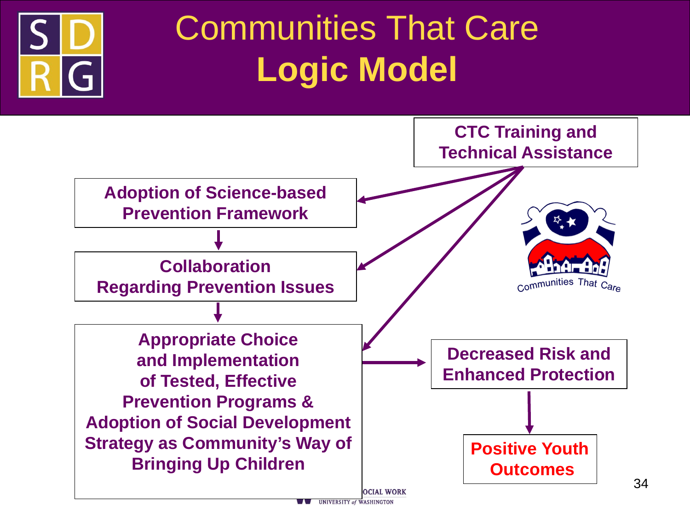

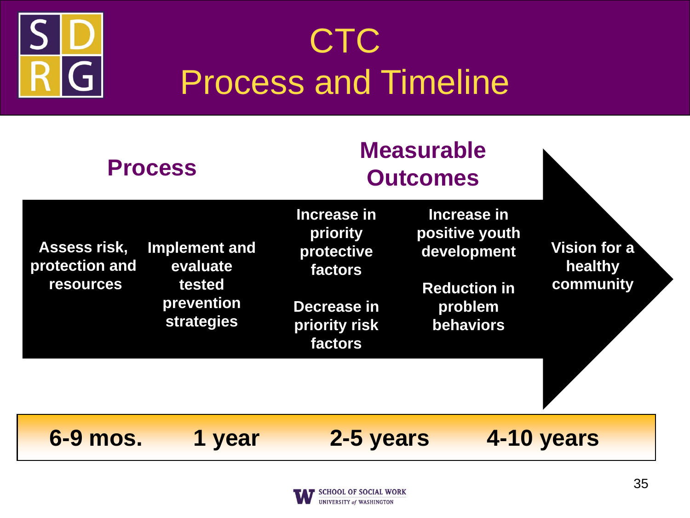

## **CTC** Process and Timeline

| <b>Process</b>                                     |                                                                        | <b>Measurable</b><br><b>Outcomes</b>                                                        |                                                                                             |                                      |
|----------------------------------------------------|------------------------------------------------------------------------|---------------------------------------------------------------------------------------------|---------------------------------------------------------------------------------------------|--------------------------------------|
| Assess risk,<br>protection and<br><b>resources</b> | Implement and<br>evaluate<br>tested<br>prevention<br><b>strategies</b> | Increase in<br>priority<br>protective<br>factors<br>Decrease in<br>priority risk<br>factors | Increase in<br>positive youth<br>development<br><b>Reduction in</b><br>problem<br>behaviors | Vision for a<br>healthy<br>community |
| 6-9 mos.                                           | 1 year                                                                 | 2-5 years                                                                                   |                                                                                             | 4-10 years                           |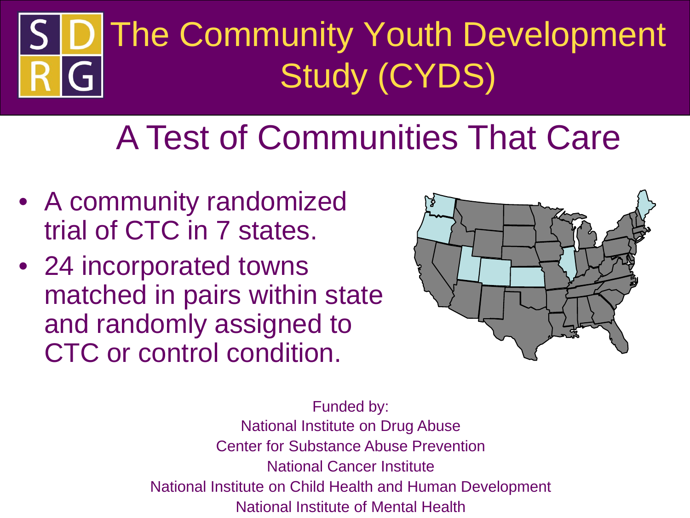# The Community Youth Development Study (CYDS)

### A Test of Communities That Care

- A community randomized trial of CTC in 7 states.
- 24 incorporated towns matched in pairs within state and randomly assigned to CTC or control condition.



Funded by: National Institute on Drug Abuse Center for Substance Abuse Prevention National Cancer Institute National Institute on Child Health and Human Development National Institute of Mental Health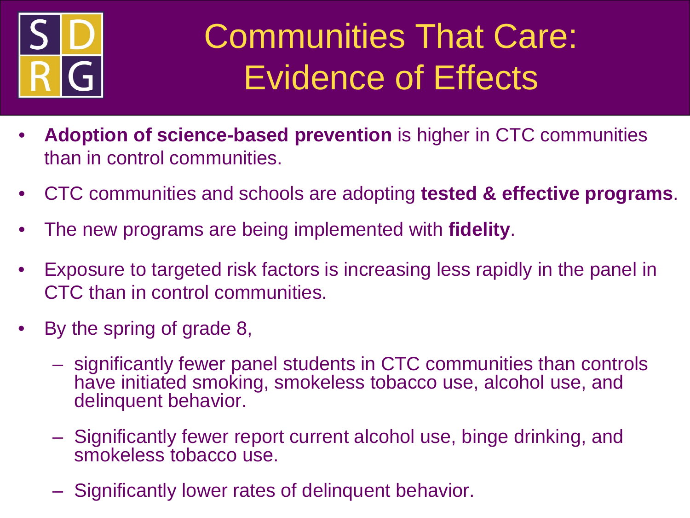

### Communities That Care: Evidence of Effects

- **Adoption of science-based prevention** is higher in CTC communities than in control communities.
- CTC communities and schools are adopting **tested & effective programs**.
- The new programs are being implemented with **fidelity**.
- Exposure to targeted risk factors is increasing less rapidly in the panel in CTC than in control communities.
- By the spring of grade 8,
	- significantly fewer panel students in CTC communities than controls have initiated smoking, smokeless tobacco use, alcohol use, and delinquent behavior.
	- Significantly fewer report current alcohol use, binge drinking, and smokeless tobacco use.
	- Significantly lower rates of delinquent behavior.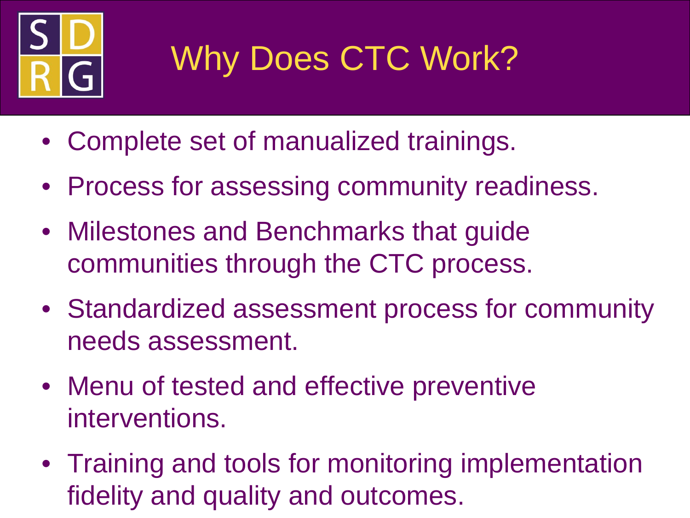

# Why Does CTC Work?

- Complete set of manualized trainings.
- Process for assessing community readiness.
- Milestones and Benchmarks that guide communities through the CTC process.
- Standardized assessment process for community needs assessment.
- Menu of tested and effective preventive interventions.
- Training and tools for monitoring implementation fidelity and quality and outcomes.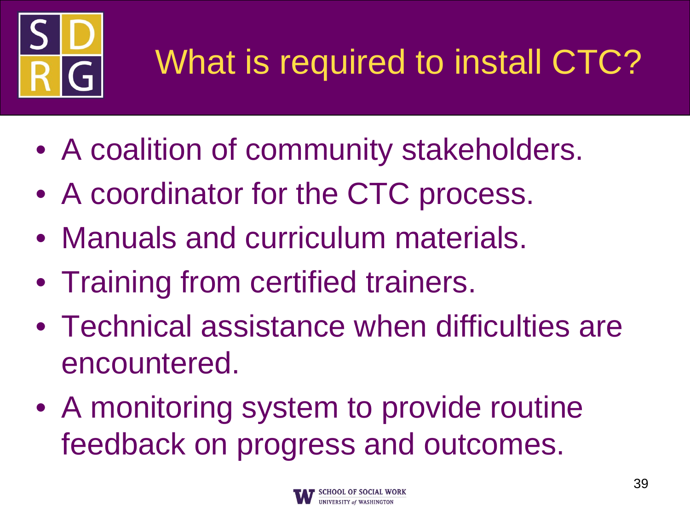

# What is required to install CTC?

- A coalition of community stakeholders.
- A coordinator for the CTC process.
- Manuals and curriculum materials.
- Training from certified trainers.
- Technical assistance when difficulties are encountered.
- A monitoring system to provide routine feedback on progress and outcomes.

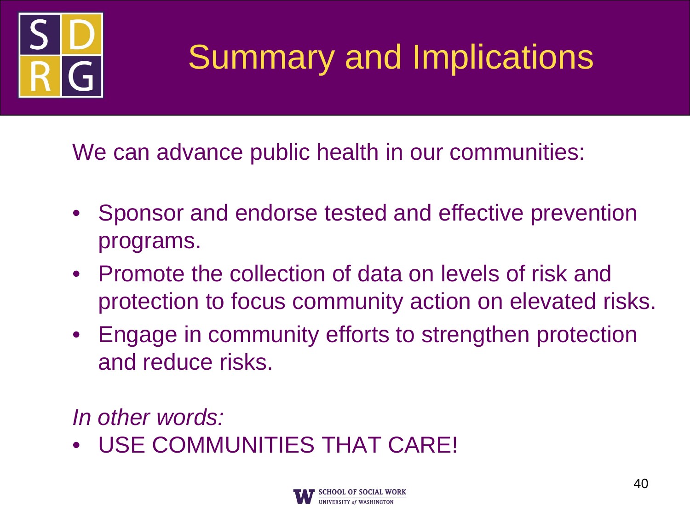

### Summary and Implications

We can advance public health in our communities:

- Sponsor and endorse tested and effective prevention programs.
- Promote the collection of data on levels of risk and protection to focus community action on elevated risks.
- Engage in community efforts to strengthen protection and reduce risks.

*In other words:*

• USE COMMUNITIES THAT CARE!